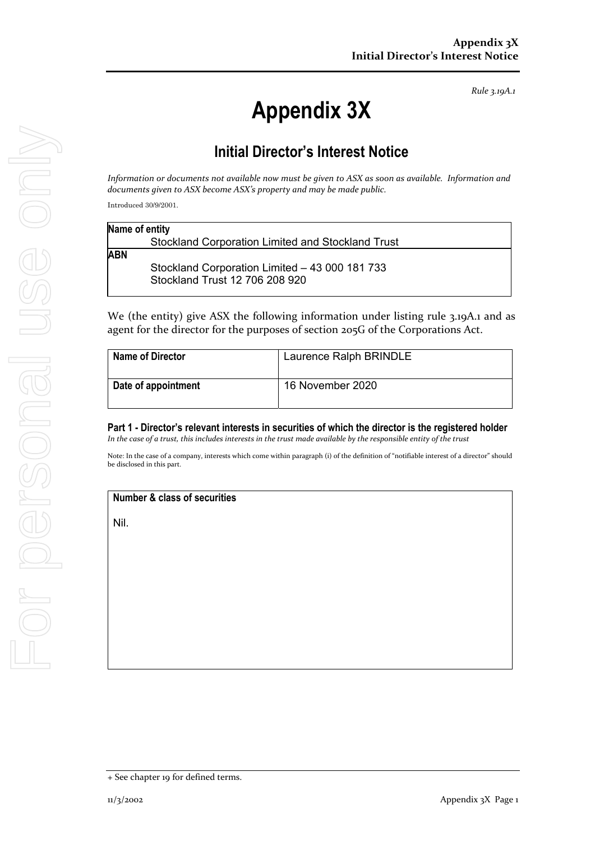*Rule 3.19A.1*

# **Appendix 3X**

# **Initial Director's Interest Notice**

Information or documents not available now must be given to ASX as soon as available. Information and *documents given to ASX become ASX's property and may be made public.*

Introduced 30/9/2001.

| <b>Stockland Corporation Limited and Stockland Trust</b> |  |
|----------------------------------------------------------|--|
|                                                          |  |
| <b>ABN</b>                                               |  |
| Stockland Corporation Limited - 43 000 181 733           |  |
| Stockland Trust 12 706 208 920                           |  |

We (the entity) give ASX the following information under listing rule 3.19A.1 and as agent for the director for the purposes of section 205G of the Corporations Act.

| <b>Name of Director</b> | Laurence Ralph BRINDLE |
|-------------------------|------------------------|
| Date of appointment     | 16 November 2020       |

#### **Part 1 - Director's relevant interests in securities of which the director is the registered holder**  In the case of a trust, this includes interests in the trust made available by the responsible entity of the trust

Note: In the case of a company, interests which come within paragraph (i) of the definition of "notifiable interest of a director" should be disclosed in this part.

## **Number & class of securities**

Nil.

<sup>+</sup> See chapter 19 for defined terms.